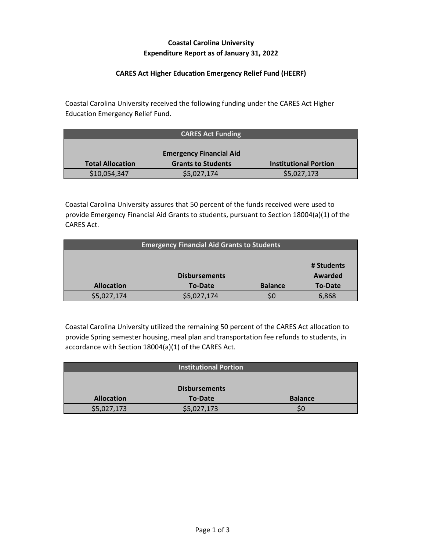# **Coastal Carolina University Expenditure Report as of January 31, 2022**

### **CARES Act Higher Education Emergency Relief Fund (HEERF)**

Coastal Carolina University received the following funding under the CARES Act Higher Education Emergency Relief Fund.

|                         | <b>CARES Act Funding</b>       |                              |
|-------------------------|--------------------------------|------------------------------|
|                         |                                |                              |
|                         | <b>Emergency Financial Aid</b> |                              |
| <b>Total Allocation</b> | <b>Grants to Students</b>      | <b>Institutional Portion</b> |
| \$10,054,347            | \$5,027,174                    | \$5,027,173                  |

Coastal Carolina University assures that 50 percent of the funds received were used to provide Emergency Financial Aid Grants to students, pursuant to Section 18004(a)(1) of the CARES Act.

| <b>Emergency Financial Aid Grants to Students</b> |                      |                |            |
|---------------------------------------------------|----------------------|----------------|------------|
|                                                   |                      |                |            |
|                                                   |                      |                | # Students |
|                                                   | <b>Disbursements</b> |                | Awarded    |
| <b>Allocation</b>                                 | <b>To-Date</b>       | <b>Balance</b> | To-Date    |
| \$5,027,174                                       | \$5,027,174          | SO             | 6,868      |

Coastal Carolina University utilized the remaining 50 percent of the CARES Act allocation to provide Spring semester housing, meal plan and transportation fee refunds to students, in accordance with Section 18004(a)(1) of the CARES Act.

|                   | <b>Institutional Portion</b> |                |
|-------------------|------------------------------|----------------|
|                   |                              |                |
|                   | <b>Disbursements</b>         |                |
| <b>Allocation</b> | <b>To-Date</b>               | <b>Balance</b> |
| \$5,027,173       | \$5,027,173                  | SC             |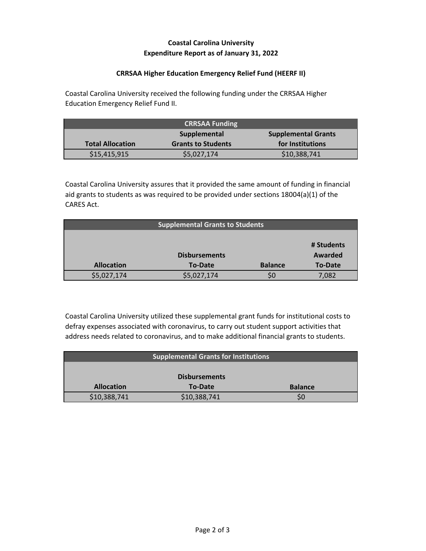## **Coastal Carolina University Expenditure Report as of January 31, 2022**

#### **CRRSAA Higher Education Emergency Relief Fund (HEERF II)**

Coastal Carolina University received the following funding under the CRRSAA Higher Education Emergency Relief Fund II.

| <b>CRRSAA Funding</b>                      |                           |                  |
|--------------------------------------------|---------------------------|------------------|
| <b>Supplemental Grants</b><br>Supplemental |                           |                  |
| <b>Total Allocation</b>                    | <b>Grants to Students</b> | for Institutions |
| \$15,415,915                               | \$5,027,174               | \$10,388,741     |

Coastal Carolina University assures that it provided the same amount of funding in financial aid grants to students as was required to be provided under sections 18004(a)(1) of the CARES Act.

| <b>Supplemental Grants to Students</b> |             |                |                |
|----------------------------------------|-------------|----------------|----------------|
|                                        |             |                |                |
|                                        |             |                | # Students     |
| <b>Disbursements</b>                   |             |                | Awarded        |
| <b>Allocation</b>                      | To-Date     | <b>Balance</b> | <b>To-Date</b> |
| \$5,027,174                            | \$5,027,174 |                | 7,082          |

Coastal Carolina University utilized these supplemental grant funds for institutional costs to defray expenses associated with coronavirus, to carry out student support activities that address needs related to coronavirus, and to make additional financial grants to students.

| <b>Supplemental Grants for Institutions</b> |                |                |  |
|---------------------------------------------|----------------|----------------|--|
|                                             |                |                |  |
| <b>Disbursements</b>                        |                |                |  |
| <b>Allocation</b>                           | <b>To-Date</b> | <b>Balance</b> |  |
| \$10,388,741                                | \$10,388,741   |                |  |